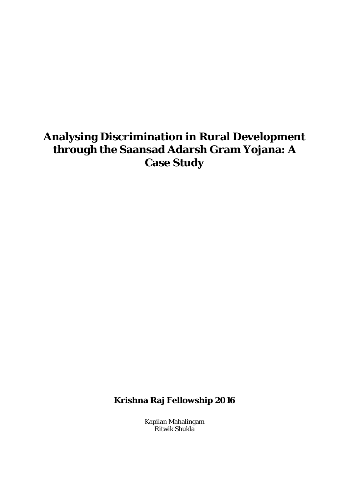## **Analysing Discrimination in Rural Development through the Saansad Adarsh Gram Yojana: A Case Study**

**Krishna Raj Fellowship 2016**

Kapilan Mahalingam Ritwik Shukla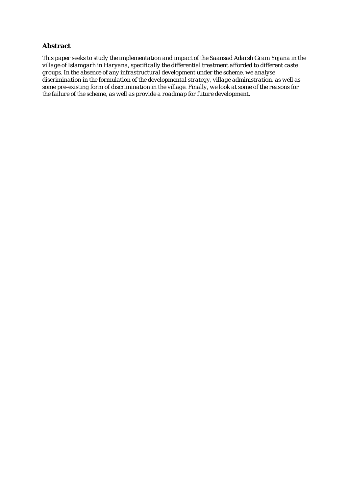### **Abstract**

*This paper seeks to study the implementation and impact of the Saansad Adarsh Gram Yojana in the village of Islamgarh in Haryana, specifically the differential treatment afforded to different caste groups. In the absence of any infrastructural development under the scheme, we analyse discrimination in the formulation of the developmental strategy, village administration, as well as some pre-existing form of discrimination in the village. Finally, we look at some of the reasons for the failure of the scheme, as well as provide a roadmap for future development.*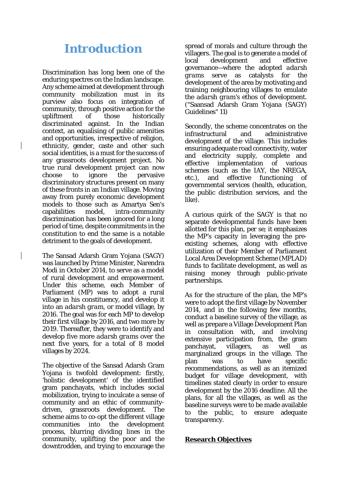## **Introduction**

Discrimination has long been one of the enduring spectres on the Indian landscape. Any scheme aimed at development through community mobilization must in its purview also focus on integration of community, through positive action for the upliftment of those historically discriminated against. In the Indian context, an equalising of public amenities and opportunities, irrespective of religion, ethnicity, gender, caste and other such social identities, is a must for the success of any grassroots development project. No true rural development project can now choose to ignore the pervasive discriminatory structures present on many of these fronts in an Indian village. Moving away from purely economic development models to those such as Amartya Sen's capabilities model, intra-community discrimination has been ignored for a long period of time, despite commitments in the constitution to end the same is a notable detriment to the goals of development.

The Sansad Adarsh Gram Yojana (SAGY) was launched by Prime Minister, Narendra Modi in October 2014, to serve as a model of rural development and empowerment. Under this scheme, each Member of Parliament (MP) was to adopt a rural village in his constituency, and develop it into an *adarsh gram*, or model village, by 2016. The goal was for each MP to develop their first village by 2016, and two more by 2019. Thereafter, they were to identify and develop five more *adarsh grams* over the next five years, for a total of 8 model villages by 2024.

The objective of the Sansad Adarsh Gram Yojana is twofold development: firstly, 'holistic development' of the identified gram panchayats, which includes social mobilization, trying to inculcate a sense of community and an ethic of communitydriven, grassroots development. The scheme aims to co-opt the different village communities into the development process, blurring dividing lines in the community, uplifting the poor and the downtrodden, and trying to encourage the

spread of morals and culture through the villagers. The goal is to generate a model of local development and effective governance—where the adopted *adarsh grams* serve as catalysts for the development of the area by motivating and training neighbouring villages to emulate the *adarsh gram's* ethos of development. ("Saansad Adarsh Gram Yojana (SAGY) Guidelines" 11)

Secondly, the scheme concentrates on the infrastructural and administrative development of the village. This includes ensuring adequate road connectivity, water and electricity supply, complete and effective implementation of various schemes (such as the IAY, the NREGA, etc.), and effective functioning of governmental services (health, education, the public distribution services, and the like).

A curious quirk of the SAGY is that no separate developmental funds have been allotted for this plan, *per se*; it emphasizes the MP's capacity in leveraging the preexisting schemes, along with effective utilization of their Member of Parliament Local Area Development Scheme (MPLAD) funds to facilitate development, as well as raising money through public-private partnerships.

As for the structure of the plan, the MP's were to adopt the first village by November 2014, and in the following few months, conduct a baseline survey of the village, as well as prepare a Village Development Plan in consultation with, and involving extensive participation from, the gram panchayat, villagers, as well as marginalized groups in the village. The plan was to have specific recommendations, as well as an itemized budget for village development, with timelines stated clearly in order to ensure development by the 2016 deadline. All the plans, for all the villages, as well as the baseline surveys were to be made available to the public, to ensure adequate transparency.

### **Research Objectives**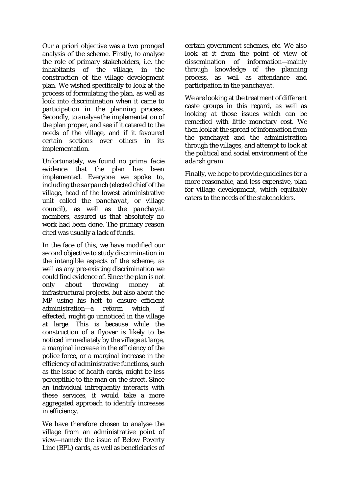Our *a priori* objective was a two pronged analysis of the scheme. Firstly, to analyse the role of primary stakeholders, i.e. the inhabitants of the village, in the construction of the village development plan. We wished specifically to look at the process of formulating the plan, as well as look into discrimination when it came to participation in the planning process. Secondly, to analyse the implementation of the plan proper, and see if it catered to the needs of the village, and if it favoured certain sections over others in its implementation.

Unfortunately, we found no *prima facie* evidence that the plan has been implemented. Everyone we spoke to, including the *sarpanch* (elected chief of the village, head of the lowest administrative unit called the *panchayat*, or village council), as well as the *panchayat* members, assured us that absolutely no work had been done. The primary reason cited was usually a lack of funds.

In the face of this, we have modified our second objective to study discrimination in the intangible aspects of the scheme, as well as any pre-existing discrimination we could find evidence of. Since the plan is not only about throwing money infrastructural projects, but also about the MP using his heft to ensure efficient administration—a reform which, effected, might go unnoticed in the village at large. This is because while the construction of a flyover is likely to be noticed immediately by the village at large, a marginal increase in the efficiency of the police force, or a marginal increase in the efficiency of administrative functions, such as the issue of health cards, might be less perceptible to the man on the street. Since an individual infrequently interacts with these services, it would take a more aggregated approach to identify increases in efficiency.

We have therefore chosen to analyse the village from an administrative point of view—namely the issue of Below Poverty Line (BPL) cards, as well as beneficiaries of

certain government schemes, etc. We also look at it from the point of view of dissemination of information—mainly through knowledge of the planning process, as well as attendance and participation in the *panchayat*.

We are looking at the treatment of different caste groups in this regard, as well as looking at those issues which can be remedied with little monetary cost. We then look at the spread of information from the panchayat and the administration through the villages, and attempt to look at the political and social environment of the *adarsh gram*.

Finally, we hope to provide guidelines for a more reasonable, and less expensive, plan for village development, which equitably caters to the needs of the stakeholders.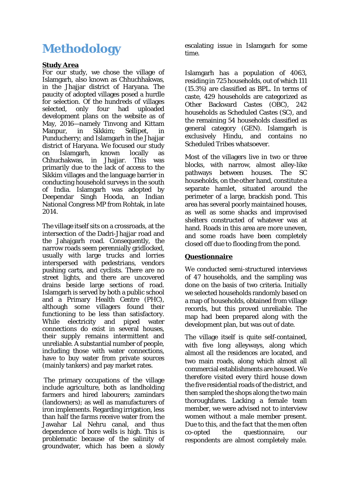# **Methodology**

### **Study Area**

For our study, we chose the village of Islamgarh, also known as Chhuchhakwas, in the Jhajjar district of Haryana. The paucity of adopted villages posed a hurdle for selection. Of the hundreds of villages selected, only four had uploaded development plans on the website as of May, 2016—namely Tinvong and Kittam Manpur, in Sikkim; Sellipet, in Punducherry; and Islamgarh in the Jhajjar district of Haryana. We focused our study on Islamgarh, known locally as Chhuchakwas, in Jhajjar. This was primarily due to the lack of access to the Sikkim villages and the language barrier in conducting household surveys in the south of India. Islamgarh was adopted by Deependar Singh Hooda, an Indian National Congress MP from Rohtak, in late 2014.

The village itself sits on a crossroads, at the intersection of the Dadri-Jhajjar road and the Jahajgarh road. Consequently, the narrow roads seem perennially gridlocked, usually with large trucks and lorries interspersed with pedestrians, vendors pushing carts, and cyclists. There are no street lights, and there are uncovered drains beside large sections of road. Islamgarh is served by both a public school and a Primary Health Centre (PHC), although some villagers found their functioning to be less than satisfactory. While electricity and piped water connections do exist in several houses, their supply remains intermittent and unreliable. A substantial number of people, including those with water connections, have to buy water from private sources (mainly tankers) and pay market rates.

The primary occupations of the village include agriculture, both as landholding farmers and hired labourers; zamindars (landowners); as well as manufacturers of iron implements. Regarding irrigation, less than half the farms receive water from the Jawahar Lal Nehru canal, and thus dependence of bore wells is high. This is problematic because of the salinity of groundwater, which has been a slowly escalating issue in Islamgarh for some time.

Islamgarh has a population of 4063, residing in 725 households, out of which 111 (15.3%) are classified as BPL. In terms of caste, 429 households are categorized as Other Backward Castes (OBC), 242 households as Scheduled Castes (SC), and the remaining 54 households classified as general category (GEN). Islamgarh is exclusively Hindu, and contains no Scheduled Tribes whatsoever.

Most of the villagers live in two or three blocks, with narrow, almost alley-like pathways between houses. The SC households, on the other hand, constitute a separate hamlet, situated around the perimeter of a large, brackish pond. This area has several poorly maintained houses, as well as some shacks and improvised shelters constructed of whatever was at hand. Roads in this area are more uneven, and some roads have been completely closed off due to flooding from the pond.

## **Questionnaire**

We conducted semi-structured interviews of 47 households, and the sampling was done on the basis of two criteria. Initially we selected households randomly based on a map of households, obtained from village records, but this proved unreliable. The map had been prepared along with the development plan, but was out of date.

The village itself is quite self-contained, with five long alleyways, along which almost all the residences are located, and two main roads, along which almost all commercial establishments are housed. We therefore visited every third house down the five residential roads of the district, and then sampled the shops along the two main thoroughfares. Lacking a female team member, we were advised not to interview women without a male member present. Due to this, and the fact that the men often co-opted the questionnaire, our respondents are almost completely male.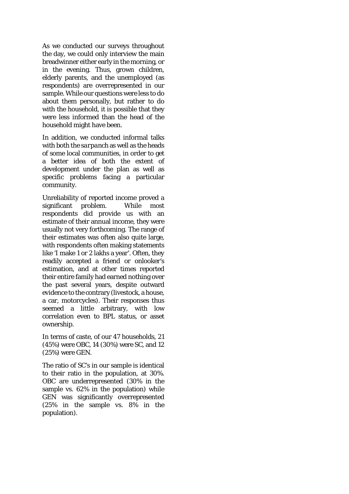As we conducted our surveys throughout the day, we could only interview the main breadwinner either early in the morning, or in the evening. Thus, grown children, elderly parents, and the unemployed (as respondents) are overrepresented in our sample. While our questions were less to do about them personally, but rather to do with the household, it is possible that they were less informed than the head of the household might have been.

In addition, we conducted informal talks with both the *sarpanch* as well as the heads of some local communities, in order to get a better idea of both the extent of development under the plan as well as specific problems facing a particular community.

Unreliability of reported income proved a significant problem. While most respondents did provide us with an estimate of their annual income, they were usually not very forthcoming. The range of their estimates was often also quite large, with respondents often making statements like 'I make 1 or 2 lakhs a year'. Often, they readily accepted a friend or onlooker's estimation, and at other times reported their entire family had earned nothing over the past several years, despite outward evidence to the contrary (livestock, a house, a car, motorcycles). Their responses thus seemed a little arbitrary, with low correlation even to BPL status, or asset ownership.

In terms of caste, of our 47 households, 21 (45%) were OBC, 14 (30%) were SC, and 12 (25%) were GEN.

The ratio of SC's in our sample is identical to their ratio in the population, at 30%. OBC are underrepresented (30% in the sample vs. 62% in the population) while GEN was significantly overrepresented (25% in the sample vs. 8% in the population).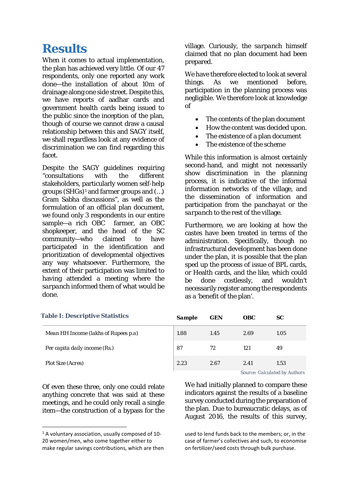## **Results**

When it comes to actual implementation, the plan has achieved very little. Of our 47 respondents, only one reported any work done—the installation of about 10m of drainage along one side street. Despite this, we have reports of aadhar cards and government health cards being issued to the public since the inception of the plan, though of course we cannot draw a causal relationship between this and SAGY itself, we shall regardless look at any evidence of discrimination we can find regarding this facet.

Despite the SAGY guidelines requiring "consultations with the different stakeholders, particularly women self-help groups  $(SHGs)^1$  and farmer groups and  $(...)$ Gram Sabha discussions", as well as the formulation of an official plan document, we found only 3 respondents in our entire sample—a rich OBC farmer, an OBC shopkeeper, and the head of the SC community—who claimed to have participated in the identification and prioritization of developmental objectives any way whatsoever. Furthermore, the extent of their participation was limited to having attended a meeting where the *sarpanch* informed them of what would be done.

village. Curiously, the *sarpanch* himself claimed that no plan document had been prepared.

We have therefore elected to look at several things. As we mentioned before, participation in the planning process was negligible. We therefore look at knowledge of

- The contents of the plan document
- How the content was decided upon.
- The existence of a plan document
- The existence of the scheme

While this information is almost certainly second-hand, and might not necessarily show discrimination in the planning process, it is indicative of the informal information networks of the village, and the dissemination of information and participation from the *panchayat* or the *sarpanch* to the rest of the village.

Furthermore, we are looking at how the castes have been treated in terms of the administration. Specifically, though no infrastructural development has been done under the plan, it is possible that the plan sped up the process of issue of BPL cards, or Health cards, and the like, which could be done costlessly, and wouldn't necessarily register among the respondents as a 'benefit of the plan'.

| <b>Table I: Descriptive Statistics</b> | <b>Sample</b> | <b>GEN</b> | <i>OBC</i>     | SC                                                       |
|----------------------------------------|---------------|------------|----------------|----------------------------------------------------------|
| Mean HH Income (lakhs of Rupees p.a)   | 1.88          | 1.45       | 2.69           | 1.05                                                     |
| Per capita daily income (Rs.)          | 87            | 72         | 121            | 49                                                       |
| <b>Plot Size (Acres)</b>               | 2.23          | 2.67       | 2.41<br>$\sim$ | 1.53<br>$\sim$ $\sim$ $\sim$ $\sim$ $\sim$ $\sim$ $\sim$ |

Of even these three, only one could relate anything concrete that was said at these meetings, and he could only recall a single item—the construction of a bypass for the

*Source: Calculated by Authors*

We had initially planned to compare these indicators against the results of a baseline survey conducted during the preparation of the plan. Due to bureaucratic delays, as of August 2016, the results of this survey,

used to lend funds back to the members; or, in the case of farmer's collectives and such, to economise on fertilizer/seed costs through bulk purchase.

<span id="page-6-0"></span> $1$  A voluntary association, usually composed of 10-20 women/men, who come together either to make regular savings contributions, which are then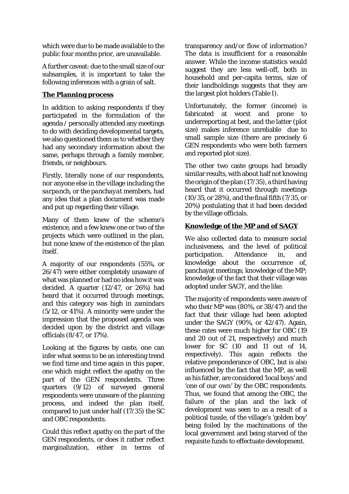which were due to be made available to the public four months prior, are unavailable.

A further caveat: due to the small size of our subsamples, it is important to take the following inferences with a grain of salt.

## **The Planning process**

In addition to asking respondents if they participated in the formulation of the agenda / personally attended any meetings to do with deciding developmental targets, we also questioned them as to whether they had any secondary information about the same, perhaps through a family member, friends, or neighbours.

Firstly, literally none of our respondents, nor anyone else in the village including the *sarpanch*, or the *panchayat* members, had any idea that a plan document was made and put up regarding their village.

Many of them knew of the scheme's existence, and a few knew one or two of the projects which were outlined in the plan, but none knew of the existence of the plan itself.

A majority of our respondents (55%, or 26/47) were either completely unaware of what was planned or had no idea how it was decided. A quarter (12/47, or 26%) had heard that it occurred through meetings, and this category was high in zamindars (5/12, or 41%). A minority were under the impression that the proposed agenda was decided upon by the district and village officials (8/47, or 17%).

Looking at the figures by caste, one can infer what seems to be an interesting trend we find time and time again in this paper, one which might reflect the apathy on the part of the GEN respondents. Three quarters (9/12) of surveyed general respondents were unaware of the planning process, and indeed the plan itself, compared to just under half (17/35) the SC and OBC respondents.

Could this reflect apathy on the part of the GEN respondents, or does it rather reflect marginalization, either in terms of

transparency and/or flow of information? The data is insufficient for a reasonable answer. While the income statistics would suggest they are less well-off, both in household and per-capita terms, size of their landholdings suggests that they are the largest plot holders (Table I).

Unfortunately, the former (income) is fabricated at worst and prone to underreporting at best, and the latter (plot size) makes inference unreliable due to small sample size (there are precisely 6 GEN respondents who were both farmers and reported plot size).

The other two caste groups had broadly similar results, with about half not knowing the origin of the plan (17/35), a third having heard that it occurred through meetings (10/35, or 28%), and the final fifth (7/35, or 20%) postulating that it had been decided by the village officials.

## **Knowledge of the MP and of SAGY**

We also collected data to measure social inclusiveness, and the level of political participation. Attendance in, and knowledge about the occurrence of, panchayat meetings; knowledge of the MP; knowledge of the fact that their village was adopted under SAGY, and the like.

The majority of respondents were aware of who their MP was (80%, or 38/47) and the fact that their village had been adopted under the SAGY (90%, or 42/47). Again, these rates were much higher for OBC (19 and 20 out of 21, respectively) and much lower for SC (10 and 11 out of 14, respectively). This again reflects the relative preponderance of OBC, but is also influenced by the fact that the MP, as well as his father, are considered 'local boys' and 'one of our own' by the OBC respondents. Thus, we found that among the OBC, the failure of the plan and the lack of development was seen to as a result of a political tussle, of the village's 'golden boy' being foiled by the machinations of the local government and being starved of the requisite funds to effectuate development.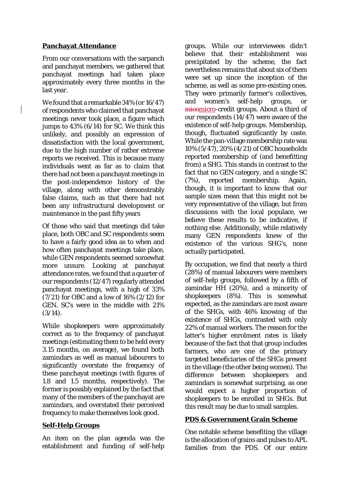## **Panchayat Attendance**

From our conversations with the sarpanch and panchayat members, we gathered that panchayat meetings had taken place approximately every three months in the last year.

We found that a remarkable 34% (or 16/47) of respondents who claimed that panchayat meetings never took place, a figure which jumps to 43% (6/14) for SC. We think this unlikely, and possibly an expression of dissatisfaction with the local government, due to the high number of rather extreme reports we received. This is because many individuals went as far as to claim that there had not been a panchayat meetings in the post-independence history of the village, along with other demonstrably false claims, such as that there had not been any infrastructural development or maintenance in the past fifty years

Of those who said that meetings did take place, both OBC and SC respondents seem to have a fairly good idea as to when and how often panchayat meetings take place, while GEN respondents seemed somewhat more unsure. Looking at panchayat attendance rates, we found that a quarter of our respondents (12/47) regularly attended panchayat meetings, with a high of 33% (7/21) for OBC and a low of 16% (2/12) for GEN. SC's were in the middle with 21%  $(3/14).$ 

While shopkeepers were approximately correct as to the frequency of panchayat meetings (estimating them to be held every 3.15 months, on average), we found both zamindars as well as manual labourers to significantly overstate the frequency of these panchayat meetings (with figures of 1.8 and 1.5 months, respectively). The former is possibly explained by the fact that many of the members of the panchayat are zamindars, and overstated their perceived frequency to make themselves look good.

## **Self-Help Groups**

An item on the plan agenda was the establishment and funding of self-help

groups. While our interviewees didn't believe that their establishment was precipitated by the scheme, the fact nevertheless remains that about six of them were set up since the inception of the scheme, as well as some pre-existing ones. They were primarily farmer's collectives, and women's self-help groups. micomicro-credit groups. About a third of our respondents  $(14/47)$  were aware of the existence of self-help groups. Membership, though, fluctuated significantly by caste. While the pan-village membership rate was 10% (5/47), 20% (4/21) of OBC households reported membership of (and benefitting from) a SHG. This stands in contrast to the fact that no GEN category, and a single SC (7%), reported membership. Again, though, it is important to know that our sample sizes mean that this might not be very representative of the village, but from discussions with the local populace, we believe these results to be indicative, if nothing else. Additionally, while relatively many GEN respondents knew of the existence of the various SHG's, none actually participated.

By occupation, we find that nearly a third (28%) of manual labourers were members of self-help groups, followed by a fifth of zamindar HH (20%), and a minority of shopkeepers (8%). This is somewhat expected, as the zamindars are most aware of the SHGs, with 46% knowing of the existence of SHGs, contrasted with only 22% of manual workers. The reason for the latter's higher enrolment rates is likely because of the fact that that group includes farmers, who are one of the primary targeted beneficiaries of the SHGs present in the village (the other being women). The difference between shopkeepers and zamindars is somewhat surprising, as one would expect a higher proportion of shopkeepers to be enrolled in SHGs. But this result may be due to small samples.

## **PDS & Government Grain Scheme**

One notable scheme benefiting the village is the allocation of grains and pulses to APL families from the PDS. Of our entire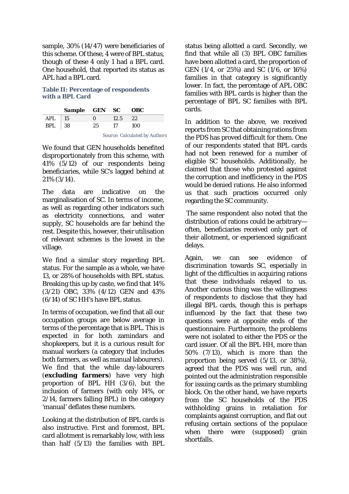sample, 30% (14/47) were beneficiaries of this scheme. Of these, 4 were of BPL status, though of these 4 only 1 had a BPL card. One household, that reported its status as APL had a BPL card.

### **Table II: Percentage of respondents with a BPL Card**

|            | Sample GEN SC OBC |                                  |         |       |  |  |
|------------|-------------------|----------------------------------|---------|-------|--|--|
| $APL$   15 |                   | $\mathbf{0}$                     | 12.5 22 |       |  |  |
| $BPL$ 38   |                   | 25                               | 17      | - 100 |  |  |
|            |                   | Corneal Colorado de Los Anthonio |         |       |  |  |

*Source: Calculated by Authors*

We found that GEN households benefited disproportionately from this scheme, with 41% (5/12) of our respondents being beneficiaries, while SC's lagged behind at 21% (3/14).

The data are indicative on the marginalisation of SC. In terms of income, as well as regarding other indicators such as electricity connections, and water supply, SC households are far behind the rest. Despite this, however, their utilisation of relevant schemes is the lowest in the village.

We find a similar story regarding BPL status. For the sample as a whole, we have 13, or 28% of households with BPL status. Breaking this up by caste, we find that 14% (3/21) OBC, 33% (4/12) GEN and 43% (6/14) of SC HH's have BPL status.

In terms of occupation, we find that all our occupation groups are below average in terms of the percentage that is BPL. This is expected in for both zamindars and shopkeepers, but it is a curious result for manual workers (a category that includes both farmers, as well as manual labourers). We find that the while day-labourers (**excluding farmers**) have very high proportion of BPL HH (3/6), but the inclusion of farmers (with only 14%, or 2/14, farmers falling BPL) in the category 'manual' deflates these numbers.

Looking at the distribution of BPL cards is also instructive. First and foremost, BPL card allotment is remarkably low, with less than half (5/13) the families with BPL

status being allotted a card. Secondly, we find that while all (3) BPL OBC families have been allotted a card, the proportion of GEN (1/4, or 25%) and SC (1/6, or 16%) families in that category is significantly lower. In fact, the percentage of APL OBC families with BPL cards is higher than the percentage of BPL SC families with BPL cards.

In addition to the above, we received reports from SC that obtaining rations from the PDS has proved difficult for them. One of our respondents stated that BPL cards had not been renewed for a number of eligible SC households. Additionally, he claimed that those who protested against the corruption and inefficiency in the PDS would be denied rations. He also informed us that such practices occurred only regarding the SC community.

The same respondent also noted that the distribution of rations could be arbitrary often, beneficiaries received only part of their allotment, or experienced significant delays.

Again, we can see evidence of discrimination towards SC, especially in light of the difficulties in acquiring rations that these individuals relayed to us. Another curious thing was the willingness of respondents to disclose that they had illegal BPL cards, though this is perhaps influenced by the fact that these two questions were at opposite ends of the questionnaire. Furthermore, the problems were not isolated to either the PDS or the card issuer. Of all the BPL HH, more than 50% (7/13), which is more than the proportion being served (5/13, or 38%), agreed that the PDS was well run, and pointed out the administration responsible for issuing cards as the primary stumbling block. On the other hand, we have reports from the SC households of the PDS withholding grains in retaliation for complaints against corruption, and flat out refusing certain sections of the populace when there were (supposed) grain shortfalls.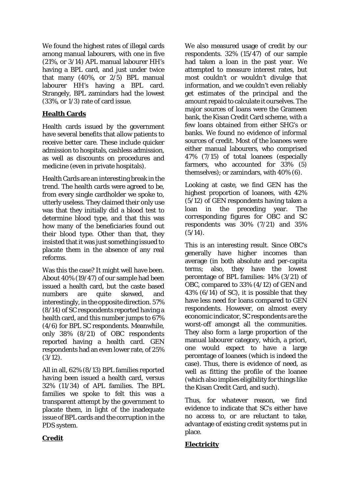We found the highest rates of illegal cards among manual labourers, with one in five (21%, or 3/14) APL manual labourer HH's having a BPL card, and just under twice that many (40%, or 2/5) BPL manual labourer HH's having a BPL card. Strangely, BPL zamindars had the lowest (33%, or 1/3) rate of card issue.

## **Health Cards**

Health cards issued by the government have several benefits that allow patients to receive better care. These include quicker admission to hospitals, cashless admission, as well as discounts on procedures and medicine (even in private hospitals).

Health Cards are an interesting break in the trend. The health cards were agreed to be, from every single cardholder we spoke to, utterly useless. They claimed their only use was that they initially did a blood test to determine blood type, and that this was how many of the beneficiaries found out their blood type. Other than that, they insisted that it was just something issued to placate them in the absence of any real reforms.

Was this the case? It might well have been. About 40% (19/47) of our sample had been issued a health card, but the caste based numbers are quite skewed, and interestingly, in the opposite direction. 57% (8/14) of SC respondents reported having a health card, and this number jumps to 67% (4/6) for BPL SC respondents. Meanwhile, only 38% (8/21) of OBC respondents reported having a health card. GEN respondents had an even lower rate, of 25%  $(3/12)$ .

All in all, 62% (8/13) BPL families reported having been issued a health card, versus 32% (11/34) of APL families. The BPL families we spoke to felt this was a transparent attempt by the government to placate them, in light of the inadequate issue of BPL cards and the corruption in the PDS system.

We also measured usage of credit by our respondents. 32% (15/47) of our sample had taken a loan in the past year. We attempted to measure interest rates, but most couldn't or wouldn't divulge that information, and we couldn't even reliably get estimates of the principal and the amount repaid to calculate it ourselves. The major sources of loans were the Grameen bank, the Kisan Credit Card scheme, with a few loans obtained from either SHG's or banks. We found no evidence of informal sources of credit. Most of the loanees were either manual labourers, who comprised 47% (7/15) of total loanees (especially farmers, who accounted for 33% (5) themselves); or zamindars, with 40% (6).

Looking at caste, we find GEN has the highest proportion of loanees, with 42% (5/12) of GEN respondents having taken a loan in the preceding year. The corresponding figures for OBC and SC respondents was 30% (7/21) and 35%  $(5/14).$ 

This is an interesting result. Since OBC's generally have higher incomes than average (in both absolute and per-capita terms; also, they have the lowest percentage of BPL families: 14% (3/21) of OBC, compared to 33% (4/12) of GEN and  $43\%$  (6/14) of SC), it is possible that they have less need for loans compared to GEN respondents. However, on almost every economic indicator, SC respondents are the worst-off amongst all the communities. They also form a large proportion of the manual labourer category, which, a priori, one would expect to have a large percentage of loanees (which is indeed the case). Thus, there is evidence of need, as well as fitting the profile of the loanee (which also implies eligibility for things like the Kisan Credit Card, and such).

Thus, for whatever reason, we find evidence to indicate that SC's either have no access to, or are reluctant to take, advantage of existing credit systems put in place.

## **Electricity**

## **Credit**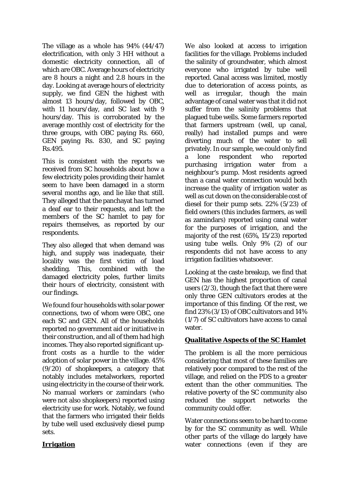The village as a whole has 94% (44/47) electrification, with only 3 HH without a domestic electricity connection, all of which are OBC. Average hours of electricity are 8 hours a night and 2.8 hours in the day. Looking at average hours of electricity supply, we find GEN the highest with almost 13 hours/day, followed by OBC, with 11 hours/day, and SC last with 9 hours/day. This is corroborated by the average monthly cost of electricity for the three groups, with OBC paying Rs. 660, GEN paying Rs. 830, and SC paying Rs.495.

This is consistent with the reports we received from SC households about how a few electricity poles providing their hamlet seem to have been damaged in a storm several months ago, and lie like that still. They alleged that the panchayat has turned a deaf ear to their requests, and left the members of the SC hamlet to pay for repairs themselves, as reported by our respondents.

They also alleged that when demand was high, and supply was inadequate, their locality was the first victim of load shedding. This, combined with the damaged electricity poles, further limits their hours of electricity, consistent with our findings.

We found four households with solar power connections, two of whom were OBC, one each SC and GEN. All of the households reported no government aid or initiative in their construction, and all of them had high incomes. They also reported significant upfront costs as a hurdle to the wider adoption of solar power in the village. 45% (9/20) of shopkeepers, a category that notably includes metalworkers, reported using electricity in the course of their work. No manual workers or zamindars (who were not also shopkeepers) reported using electricity use for work. Notably, we found that the farmers who irrigated their fields by tube well used exclusively diesel pump sets.

## **Irrigation**

We also looked at access to irrigation facilities for the village. Problems included the salinity of groundwater, which almost everyone who irrigated by tube well reported. Canal access was limited, mostly due to deterioration of access points, as well as irregular, though the main advantage of canal water was that it did not suffer from the salinity problems that plagued tube wells. Some farmers reported that farmers upstream (well, up canal, really) had installed pumps and were diverting much of the water to sell privately. In our sample, we could only find a lone respondent who reported purchasing irrigation water from a neighbour's pump. Most residents agreed than a canal water connection would both increase the quality of irrigation water as well as cut down on the considerable cost of diesel for their pump sets. 22% (5/23) of field owners (this includes farmers, as well as zamindars) reported using canal water for the purposes of irrigation, and the majority of the rest (65%, 15/23) reported using tube wells. Only 9% (2) of our respondents did not have access to any irrigation facilities whatsoever.

Looking at the caste breakup, we find that GEN has the highest proportion of canal users (2/3), though the fact that there were only three GEN cultivators erodes at the importance of this finding. Of the rest, we find 23% (3/13) of OBC cultivators and 14% (1/7) of SC cultivators have access to canal water.

## **Qualitative Aspects of the SC Hamlet**

The problem is all the more pernicious considering that most of these families are relatively poor compared to the rest of the village, and relied on the PDS to a greater extent than the other communities. The relative poverty of the SC community also reduced the support networks the community could offer.

Water connections seem to be hard to come by for the SC community as well. While other parts of the village do largely have water connections (even if they are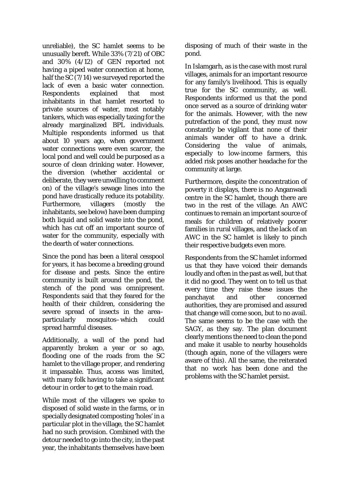unreliable), the SC hamlet seems to be unusually bereft. While 33% (7/21) of OBC and 30% (4/12) of GEN reported not having a piped water connection at home, half the SC (7/14) we surveyed reported the lack of even a basic water connection. Respondents explained that most inhabitants in that hamlet resorted to private sources of water, most notably tankers, which was especially taxing for the already marginalized BPL individuals. Multiple respondents informed us that about 10 years ago, when government water connections were even scarcer, the local pond and well could be purposed as a source of clean drinking water. However, the diversion (whether accidental or deliberate, they were unwilling to comment on) of the village's sewage lines into the pond have drastically reduce its potability. Furthermore, villagers (mostly the inhabitants, see below) have been dumping both liquid and solid waste into the pond, which has cut off an important source of water for the community, especially with the dearth of water connections.

Since the pond has been a literal cesspool for years, it has become a breeding ground for disease and pests. Since the entire community is built around the pond, the stench of the pond was omnipresent. Respondents said that they feared for the health of their children, considering the severe spread of insects in the area– particularly mosquitos–which could spread harmful diseases.

Additionally, a wall of the pond had apparently broken a year or so ago, flooding one of the roads from the SC hamlet to the village proper, and rendering it impassable. Thus, access was limited, with many folk having to take a significant detour in order to get to the main road.

While most of the villagers we spoke to disposed of solid waste in the farms, or in specially designated composting 'holes' in a particular plot in the village, the SC hamlet had no such provision. Combined with the detour needed to go into the city, in the past year, the inhabitants themselves have been disposing of much of their waste in the pond.

In Islamgarh, as is the case with most rural villages, animals for an important resource for any family's livelihood. This is equally true for the SC community, as well. Respondents informed us that the pond once served as a source of drinking water for the animals. However, with the new putrefaction of the pond, they must now constantly be vigilant that none of their animals wander off to have a drink. Considering the value of animals, especially to low-income farmers, this added risk poses another headache for the community at large.

Furthermore, despite the concentration of poverty it displays, there is no Anganwadi centre in the SC hamlet, though there are two in the rest of the village. An AWC continues to remain an important source of meals for children of relatively poorer families in rural villages, and the lack of an AWC in the SC hamlet is likely to pinch their respective budgets even more.

Respondents from the SC hamlet informed us that they have voiced their demands loudly and often in the past as well, but that it did no good. They went on to tell us that every time they raise these issues the panchayat and other concerned authorities, they are promised and assured that change will come soon, but to no avail. The same seems to be the case with the SAGY, as they say. The plan document clearly mentions the need to clean the pond and make it usable to nearby households (though again, none of the villagers were aware of this). All the same, the reiterated that no work has been done and the problems with the SC hamlet persist.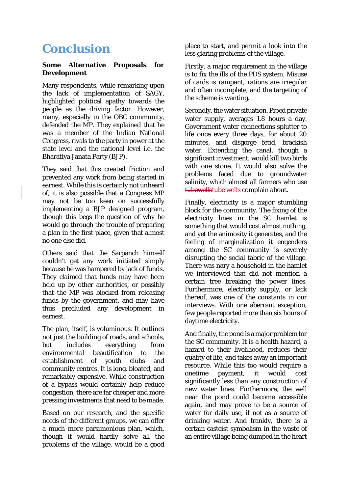# **Conclusion**

### **Some Alternative Proposals for Development**

Many respondents, while remarking upon the lack of implementation of SAGY, highlighted political apathy towards the people as the driving factor. However, many, especially in the OBC community, defended the MP. They explained that he was a member of the Indian National Congress, rivals to the party in power at the state level and the national level i.e. the Bharatiya Janata Party (BJP).

They said that this created friction and prevented any work from being started in earnest. While this is certainly not unheard of, it is also possible that a Congress MP may not be too keen on successfully implementing a BJP designed program, though this begs the question of why he would go through the trouble of preparing a plan in the first place, given that almost no one else did.

Others said that the Sarpanch himself couldn't get any work initiated simply because he was hampered by lack of funds. They claimed that funds may have been held up by other authorities, or possibly that the MP was blocked from releasing funds by the government, and may have thus precluded any development in earnest.

The plan, itself, is voluminous. It outlines not just the building of roads, and schools, but includes everything from environmental beautification to the establishment of youth clubs and community centres. It is long, bloated, and remarkably expensive. While construction of a bypass would certainly help reduce congestion, there are far cheaper and more pressing investments that need to be made.

Based on our research, and the specific needs of the different groups, we can offer a much more parsimonious plan, which, though it would hardly solve all the problems of the village, would be a good

place to start, and permit a look into the less glaring problems of the village.

Firstly, a major requirement in the village is to fix the ills of the PDS system. Misuse of cards is rampant, rations are irregular and often incomplete, and the targeting of the scheme is wanting.

Secondly, the water situation. Piped private water supply, averages 1.8 hours a day. Government water connections splutter to life once every three days, for about 20 minutes, and disgorge fetid, brackish water. Extending the canal, though a significant investment, would kill two birds with one stone. It would also solve the problems faced due to groundwater salinity, which almost all farmers who use tubewellstube wells complain about.

Finally, electricity is a major stumbling block for the community. The fixing of the electricity lines in the SC hamlet is something that would cost almost nothing, and yet the animosity it generates, and the feeling of marginalization it engenders among the SC community is severely disrupting the social fabric of the village. There was nary a household in the hamlet we interviewed that did not mention a certain tree breaking the power lines. Furthermore, electricity supply, or lack thereof, was one of the constants in our interviews. With one aberrant exception, few people reported more than six hours of daytime electricity.

And finally, the pond is a major problem for the SC community. It is a health hazard, a hazard to their livelihood, reduces their quality of life, and takes away an important resource. While this too would require a onetime payment, it would cost significantly less than any construction of new water lines. Furthermore, the well near the pond could become accessible again, and may prove to be a source of water for daily use, if not as a source of drinking water. And frankly, there is a certain casteist symbolism in the waste of an entire village being dumped in the heart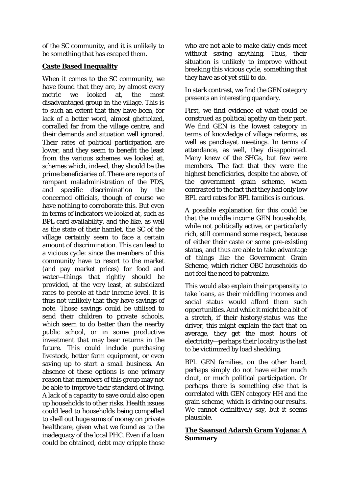of the SC community, and it is unlikely to be something that has escaped them.

## **Caste Based Inequality**

When it comes to the SC community, we have found that they are, by almost every metric we looked at, the most disadvantaged group in the village. This is to such an extent that they have been, for lack of a better word, almost ghettoized, corralled far from the village centre, and their demands and situation well ignored. Their rates of political participation are lower, and they seem to benefit the least from the various schemes we looked at, schemes which, indeed, they should be the prime beneficiaries of. There are reports of rampant maladministration of the PDS, and specific discrimination by the concerned officials, though of course we have nothing to corroborate this. But even in terms of indicators we looked at, such as BPL card availability, and the like, as well as the state of their hamlet, the SC of the village certainly seem to face a certain amount of discrimination. This can lead to a vicious cycle: since the members of this community have to resort to the market (and pay market prices) for food and water—things that rightly should be provided, at the very least, at subsidized rates to people at their income level. It is thus not unlikely that they have savings of note. Those savings could be utilised to send their children to private schools, which seem to do better than the nearby public school, or in some productive investment that may bear returns in the future. This could include purchasing livestock, better farm equipment, or even saving up to start a small business. An absence of these options is one primary reason that members of this group may not be able to improve their standard of living. A lack of a capacity to save could also open up households to other risks. Health issues could lead to households being compelled to shell out huge sums of money on private healthcare, given what we found as to the inadequacy of the local PHC. Even if a loan could be obtained, debt may cripple those

who are not able to make daily ends meet without saving anything. Thus, their situation is unlikely to improve without breaking this vicious cycle, something that they have as of yet still to do.

In stark contrast, we find the GEN category presents an interesting quandary.

First, we find evidence of what could be construed as political apathy on their part. We find GEN is the lowest category in terms of knowledge of village reforms, as well as panchayat meetings. In terms of attendance, as well, they disappointed. Many knew of the SHGs, but few were members. The fact that they were the highest beneficiaries, despite the above, of the government grain scheme, when contrasted to the fact that they had only low BPL card rates for BPL families is curious.

A possible explanation for this could be that the middle income GEN households, while not politically active, or particularly rich, still command some respect, because of either their caste or some pre-existing status, and thus are able to take advantage of things like the Government Grain Scheme, which richer OBC households do not feel the need to patronize.

This would also explain their propensity to take loans, as their middling incomes and social status would afford them such opportunities. And while it might be a bit of a stretch, if their history/status was the driver, this might explain the fact that on average, they get the most hours of electricity—perhaps their locality is the last to be victimized by load shedding.

BPL GEN families, on the other hand, perhaps simply do not have either much clout, or much political participation. Or perhaps there is something else that is correlated with GEN category HH and the grain scheme, which is driving our results. We cannot definitively say, but it seems plausible.

## **The Saansad Adarsh Gram Yojana: A Summary**